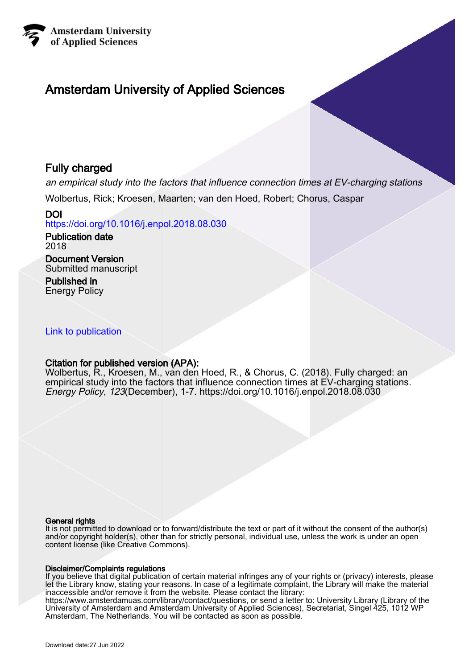

## Amsterdam University of Applied Sciences

## Fully charged

an empirical study into the factors that influence connection times at EV-charging stations

Wolbertus, Rick; Kroesen, Maarten; van den Hoed, Robert; Chorus, Caspar

DOI <https://doi.org/10.1016/j.enpol.2018.08.030>

Publication date 2018

Document Version Submitted manuscript

Published in Energy Policy

## [Link to publication](https://research.hva.nl/en/publications/c21f2181-ed19-4e6a-ac65-4b4edb870f8f)

## Citation for published version (APA):

Wolbertus, R., Kroesen, M., van den Hoed, R., & Chorus, C. (2018). Fully charged: an empirical study into the factors that influence connection times at EV-charging stations. Energy Policy, 123(December), 1-7. <https://doi.org/10.1016/j.enpol.2018.08.030>

#### General rights

It is not permitted to download or to forward/distribute the text or part of it without the consent of the author(s) and/or copyright holder(s), other than for strictly personal, individual use, unless the work is under an open content license (like Creative Commons).

#### Disclaimer/Complaints regulations

If you believe that digital publication of certain material infringes any of your rights or (privacy) interests, please let the Library know, stating your reasons. In case of a legitimate complaint, the Library will make the material inaccessible and/or remove it from the website. Please contact the library:

https://www.amsterdamuas.com/library/contact/questions, or send a letter to: University Library (Library of the University of Amsterdam and Amsterdam University of Applied Sciences), Secretariat, Singel 425, 1012 WP Amsterdam, The Netherlands. You will be contacted as soon as possible.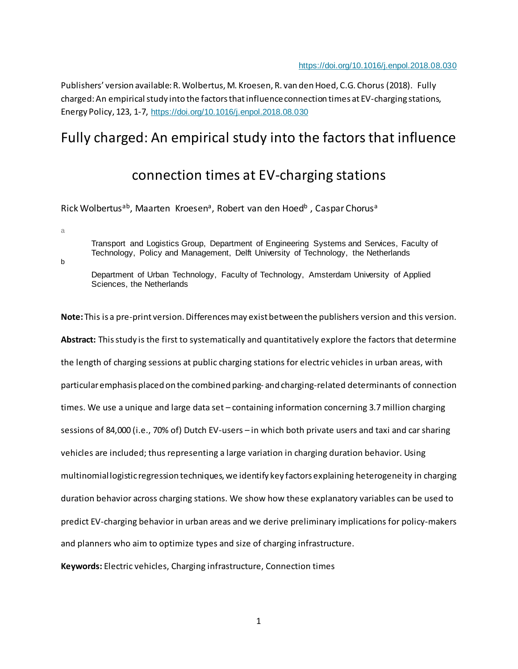Publishers' version available: R. Wolbertus, M. Kroesen, R. van den Hoed, C.G. Chorus (2018). Fully charged: An empirical study into the factors that influence connection times at EV-charging stations, Energy Policy, 123, 1-7, <https://doi.org/10.1016/j.enpol.2018.08.030>

# Fully charged: An empirical study into the factors that influence

## connection times at EV-charging stations

Rick Wolbertusab, Maarten Kroesena, Robert van den Hoedb, Caspar Chorusa

a

Transport and Logistics Group, Department of Engineering Systems and Services, Faculty of Technology, Policy and Management, Delft University of Technology, the Netherlands

b

Department of Urban Technology, Faculty of Technology, Amsterdam University of Applied Sciences, the Netherlands

**Note:** This is a pre-print version. Differences may exist between the publishers version and this version. **Abstract:** This study is the first to systematically and quantitatively explore the factors that determine the length of charging sessions at public charging stations for electric vehicles in urban areas, with particular emphasis placed on the combined parking- and charging-related determinants of connection times. We use a unique and large data set – containing information concerning 3.7 million charging sessions of 84,000 (i.e., 70% of) Dutch EV-users – in which both private users and taxi and car sharing vehicles are included; thus representing a large variation in charging duration behavior. Using multinomial logistic regression techniques, we identify key factors explaining heterogeneity in charging duration behavior across charging stations. We show how these explanatory variables can be used to predict EV-charging behavior in urban areas and we derive preliminary implications for policy-makers and planners who aim to optimize types and size of charging infrastructure.

**Keywords:** Electric vehicles, Charging infrastructure, Connection times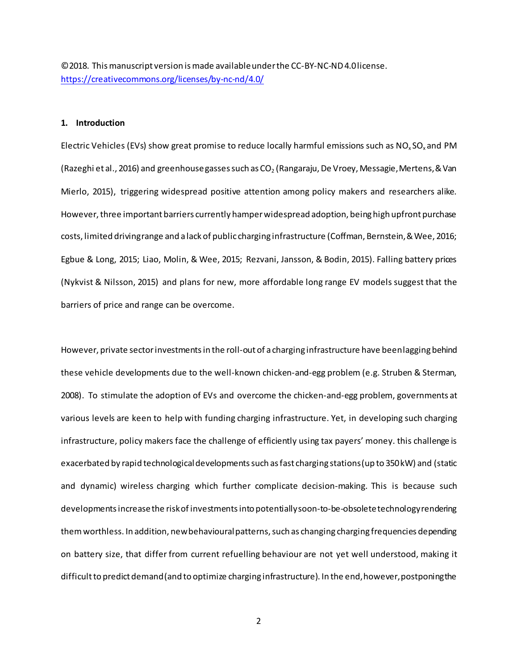©2018. This manuscript version is made available under the CC-BY-NC-ND 4.0 license. <https://creativecommons.org/licenses/by-nc-nd/4.0/>

#### **1. Introduction**

Electric Vehicles (EVs) show great promise to reduce locally harmful emissions such as  $NO<sub>x</sub>SO<sub>x</sub>$  and PM (Razeghi et al., 2016) and greenhouse gasses such as CO<sub>2</sub> (Rangaraju, De Vroey, Messagie, Mertens, & Van Mierlo, 2015), triggering widespread positive attention among policy makers and researchers alike. However, three important barriers currently hamper widespread adoption, being high upfront purchase costs, limited driving range and a lack of public charging infrastructure (Coffman, Bernstein, & Wee, 2016; Egbue & Long, 2015; Liao, Molin, & Wee, 2015; Rezvani, Jansson, & Bodin, 2015). Falling battery prices (Nykvist & Nilsson, 2015) and plans for new, more affordable long range EV models suggest that the barriers of price and range can be overcome.

However, private sector investments in the roll-out of a charging infrastructure have been lagging behind these vehicle developments due to the well-known chicken-and-egg problem (e.g. Struben & Sterman, 2008). To stimulate the adoption of EVs and overcome the chicken-and-egg problem, governments at various levels are keen to help with funding charging infrastructure. Yet, in developing such charging infrastructure, policy makers face the challenge of efficiently using tax payers' money. this challenge is exacerbated by rapid technological developments such as fast charging stations (up to 350 kW) and (static and dynamic) wireless charging which further complicate decision-making. This is because such developmentsincrease the risk of investmentsinto potentially soon-to-be-obsolete technology rendering themworthless. In addition, new behavioural patterns, such as changing charging frequencies depending on battery size, that differ from current refuelling behaviour are not yet well understood, making it difficult to predict demand(and to optimize charging infrastructure). In the end, however,postponing the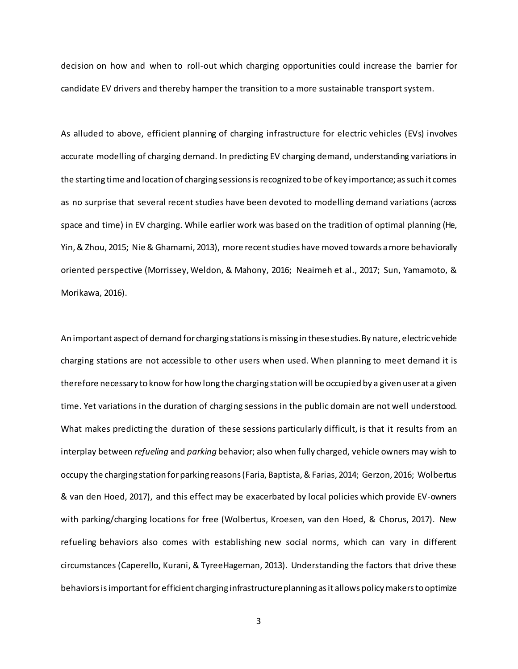decision on how and when to roll-out which charging opportunities could increase the barrier for candidate EV drivers and thereby hamper the transition to a more sustainable transport system.

As alluded to above, efficient planning of charging infrastructure for electric vehicles (EVs) involves accurate modelling of charging demand. In predicting EV charging demand, understanding variations in the starting time and location of charging sessions isrecognized to be of key importance; as such it comes as no surprise that several recent studies have been devoted to modelling demand variations (across space and time) in EV charging. While earlier work was based on the tradition of optimal planning (He, Yin, & Zhou, 2015; Nie & Ghamami, 2013), more recent studies have moved towards a more behaviorally oriented perspective (Morrissey, Weldon, & Mahony, 2016; Neaimeh et al., 2017; Sun, Yamamoto, & Morikawa, 2016).

An important aspect of demand for charging stations is missing in these studies. By nature, electric vehicle charging stations are not accessible to other users when used. When planning to meet demand it is therefore necessary to know for how long the charging station will be occupied by a given user at a given time. Yet variations in the duration of charging sessions in the public domain are not well understood. What makes predicting the duration of these sessions particularly difficult, is that it results from an interplay between *refueling* and *parking* behavior; also when fully charged, vehicle owners may wish to occupy the charging station for parking reasons(Faria, Baptista, & Farias, 2014; Gerzon, 2016; Wolbertus & van den Hoed, 2017), and this effect may be exacerbated by local policies which provide EV-owners with parking/charging locations for free (Wolbertus, Kroesen, van den Hoed, & Chorus, 2017). New refueling behaviors also comes with establishing new social norms, which can vary in different circumstances (Caperello, Kurani, & TyreeHageman, 2013). Understanding the factors that drive these behaviorsis important for efficient charging infrastructure planning as it allows policy makers to optimize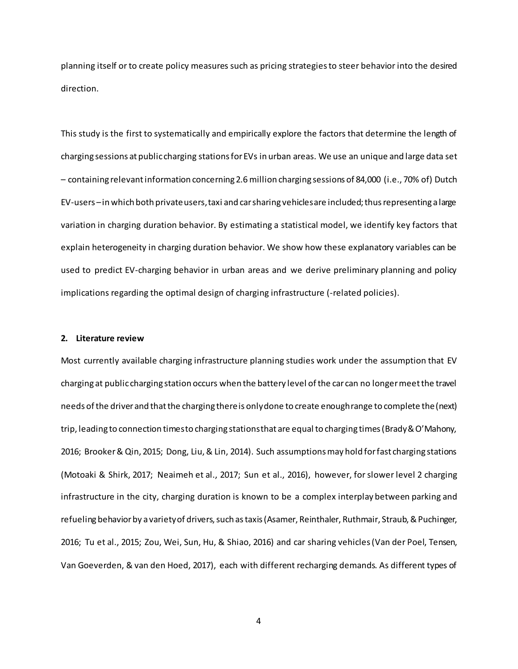planning itself or to create policy measures such as pricing strategies to steer behavior into the desired direction.

This study is the first to systematically and empirically explore the factors that determine the length of charging sessions at public charging stations for EVs in urban areas. We use an unique and large data set – containing relevantinformation concerning 2.6million charging sessions of 84,000 (i.e., 70% of) Dutch EV-users –in which both private users, taxi and car sharing vehicles are included; thus representing a large variation in charging duration behavior. By estimating a statistical model, we identify key factors that explain heterogeneity in charging duration behavior. We show how these explanatory variables can be used to predict EV-charging behavior in urban areas and we derive preliminary planning and policy implications regarding the optimal design of charging infrastructure (-related policies).

#### **2. Literature review**

Most currently available charging infrastructure planning studies work under the assumption that EV charging at public charging station occurs when the battery level of the car can no longer meet the travel needs of the driver and that the charging there is only done to create enough range to complete the (next) trip, leading to connection times to charging stations that are equal to charging times (Brady & O'Mahony, 2016; Brooker & Qin, 2015; Dong, Liu, & Lin, 2014). Such assumptions may hold for fast charging stations (Motoaki & Shirk, 2017; Neaimeh et al., 2017; Sun et al., 2016), however, for slower level 2 charging infrastructure in the city, charging duration is known to be a complex interplay between parking and refueling behavior by a variety of drivers, such as taxis (Asamer, Reinthaler, Ruthmair, Straub, & Puchinger, 2016; Tu et al., 2015; Zou, Wei, Sun, Hu, & Shiao, 2016) and car sharing vehicles (Van der Poel, Tensen, Van Goeverden, & van den Hoed, 2017), each with different recharging demands. As different types of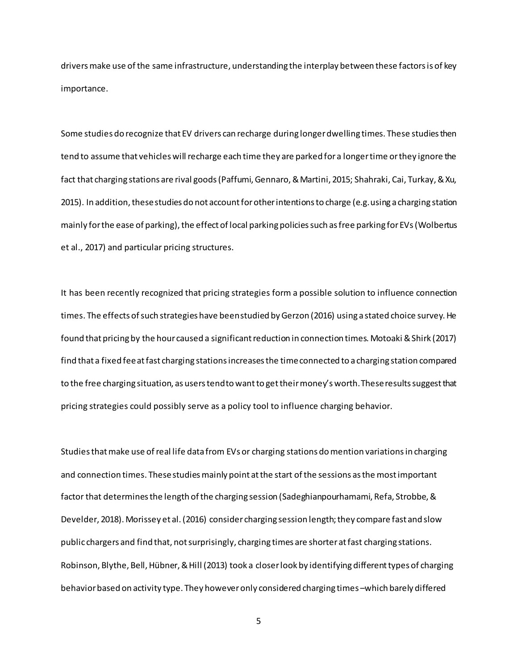drivers make use of the same infrastructure, understanding the interplay between these factors is of key importance.

Some studies do recognize that EV drivers can recharge during longer dwelling times. These studies then tend to assume that vehicles will recharge each time they are parked for a longer time or they ignore the fact that charging stations are rival goods (Paffumi, Gennaro, & Martini, 2015; Shahraki, Cai, Turkay, & Xu, 2015). In addition, these studies do not account for other intentions to charge (e.g. using a charging station mainly for the ease of parking), the effect of local parking policies such as free parking for EVs (Wolbertus et al., 2017) and particular pricing structures.

It has been recently recognized that pricing strategies form a possible solution to influence connection times. The effects of such strategies have been studied by Gerzon (2016) using a stated choice survey. He found that pricing by the hour caused a significant reduction in connection times. Motoaki & Shirk (2017) find that a fixed fee at fast charging stations increases the time connected to a charging station compared to the free charging situation, as users tend to want to get their money's worth.These results suggest that pricing strategies could possibly serve as a policy tool to influence charging behavior.

Studies that make use of real life data from EVs or charging stations do mention variations in charging and connection times. These studies mainly point at the start of the sessions as the most important factor that determines the length of the charging session (Sadeghianpourhamami, Refa, Strobbe, & Develder, 2018). Morissey et al. (2016) consider charging session length; they compare fast and slow public chargers and find that, not surprisingly, charging times are shorter at fast charging stations. Robinson, Blythe, Bell, Hübner, & Hill (2013) took a closer look by identifying different types of charging behavior based on activity type. They however only considered charging times –which barely differed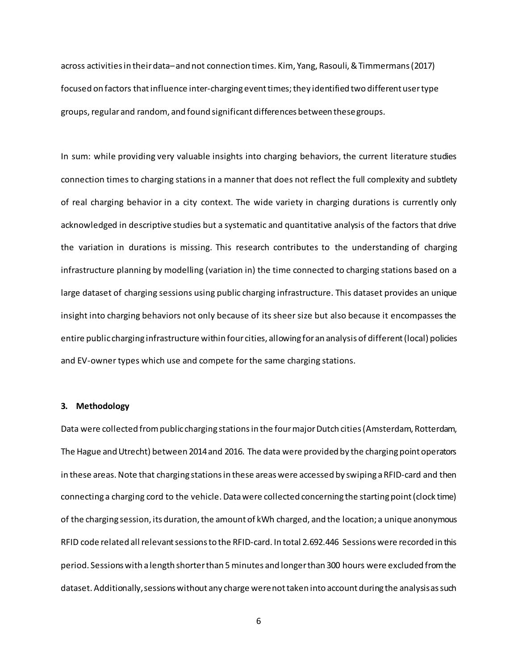across activitiesin their data–and not connection times. Kim, Yang, Rasouli, & Timmermans(2017) focused on factors that influence inter-charging event times; they identified two different user type groups, regular and random, and found significant differences between these groups.

In sum: while providing very valuable insights into charging behaviors, the current literature studies connection times to charging stations in a manner that does not reflect the full complexity and subtlety of real charging behavior in a city context. The wide variety in charging durations is currently only acknowledged in descriptive studies but a systematic and quantitative analysis of the factors that drive the variation in durations is missing. This research contributes to the understanding of charging infrastructure planning by modelling (variation in) the time connected to charging stations based on a large dataset of charging sessions using public charging infrastructure. This dataset provides an unique insight into charging behaviors not only because of its sheer size but also because it encompasses the entire public charging infrastructure within four cities, allowing for an analysis of different(local) policies and EV-owner types which use and compete for the same charging stations.

#### **3. Methodology**

Data were collected from public charging stations in the four major Dutch cities (Amsterdam, Rotterdam, The Hague and Utrecht) between 2014 and 2016. The data were provided by the charging point operators in these areas. Note that charging stationsin these areaswere accessed by swiping a RFID-card and then connecting a charging cord to the vehicle. Data were collected concerning the starting point (clock time) of the charging session, its duration, the amount of kWh charged, and the location; a unique anonymous RFID code related all relevant sessionsto the RFID-card. In total 2.692.446 Sessions were recorded in this period. Sessions with a length shorter than 5 minutes and longer than 300 hours were excluded from the dataset. Additionally,sessions without any charge were not taken into account during the analysis as such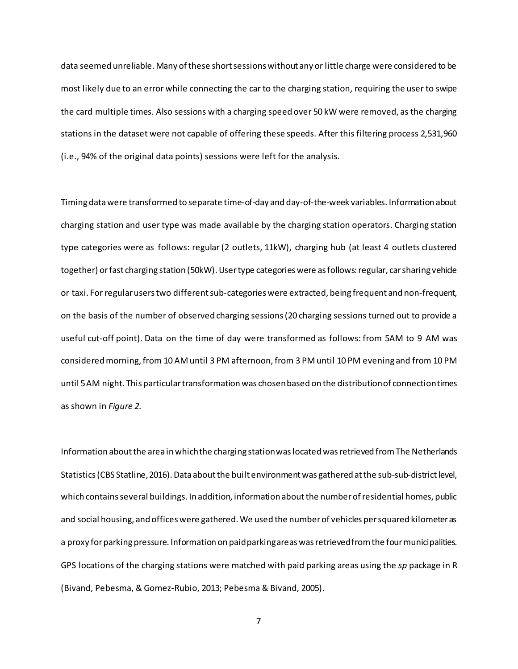data seemed unreliable. Many of these short sessions without any or little charge were considered to be most likely due to an error while connecting the car to the charging station, requiring the user to swipe the card multiple times. Also sessions with a charging speed over 50 kW were removed, as the charging stations in the dataset were not capable of offering these speeds. After this filtering process 2,531,960 (i.e., 94% of the original data points) sessions were left for the analysis.

Timing data were transformed to separate time-of-day and day-of-the-week variables. Information about charging station and user type was made available by the charging station operators. Charging station type categories were as follows: regular (2 outlets, 11kW), charging hub (at least 4 outlets clustered together) or fast charging station (50kW). User type categories were as follows: regular, car sharing vehicle or taxi. For regular users two different sub-categories were extracted, being frequent and non-frequent, on the basis of the number of observed charging sessions (20 charging sessions turned out to provide a useful cut-off point). Data on the time of day were transformed as follows: from 5AM to 9 AM was considered morning, from 10 AM until 3 PM afternoon, from 3 PM until 10 PM evening and from 10 PM until 5 AM night. This particular transformation was chosen based on the distribution of connection times as shown in *Figure 2*.

Information about the area in whichthe charging station was located was retrieved from The Netherlands Statistics(CBS Statline, 2016). Data about the built environment was gathered at the sub-sub-district level, which contains several buildings. In addition, information about the number of residential homes, public and social housing, and offices were gathered. We used the number of vehicles per squared kilometeras a proxy for parking pressure. Information on paid parking areaswas retrieved from the four municipalities. GPS locations of the charging stations were matched with paid parking areas using the *sp* package in R (Bivand, Pebesma, & Gomez-Rubio, 2013; Pebesma & Bivand, 2005).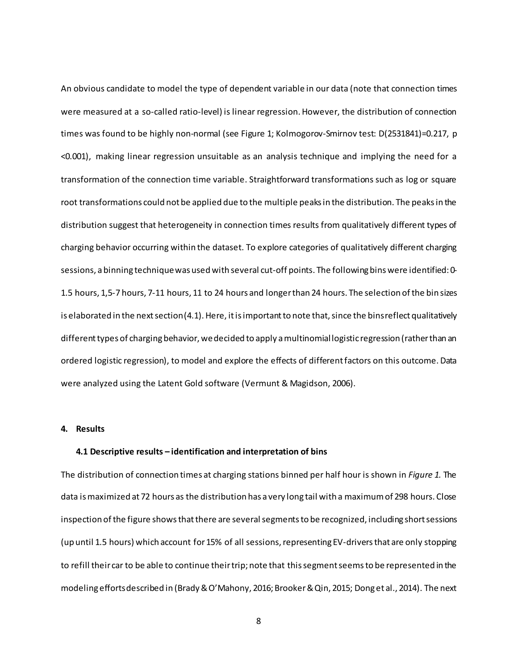An obvious candidate to model the type of dependent variable in our data (note that connection times were measured at a so-called ratio-level) is linear regression. However, the distribution of connection times was found to be highly non-normal (see Figure 1; Kolmogorov-Smirnov test: D(2531841)=0.217, p <0.001), making linear regression unsuitable as an analysis technique and implying the need for a transformation of the connection time variable. Straightforward transformations such as log or square root transformations could not be applied due to the multiple peaks in the distribution. The peaksin the distribution suggest that heterogeneity in connection times results from qualitatively different types of charging behavior occurring within the dataset. To explore categories of qualitatively different charging sessions, a binning technique was used with several cut-off points. The following bins were identified: 0- 1.5 hours, 1,5-7 hours, 7-11 hours, 11 to 24 hours and longer than 24 hours. The selection of the bin sizes is elaborated in the next section (4.1). Here, it is important to note that, since the bins reflect qualitatively different types of charging behavior, we decided to apply a multinomial logistic regression (rather than an ordered logistic regression), to model and explore the effects of different factors on this outcome. Data were analyzed using the Latent Gold software (Vermunt & Magidson, 2006).

### **4. Results**

#### **4.1 Descriptive results – identification and interpretation of bins**

The distribution of connection times at charging stations binned per half hour is shown in *Figure 1.* The data is maximized at 72 hours as the distribution has a very long tail with a maximum of 298 hours. Close inspection of the figure shows that there are several segments to be recognized, including short sessions (up until 1.5 hours) which account for 15% of all sessions, representing EV-drivers that are only stopping to refill their car to be able to continue theirtrip; note that this segment seems to be represented in the modeling efforts described in (Brady & O'Mahony, 2016; Brooker & Qin, 2015; Dong et al., 2014). The next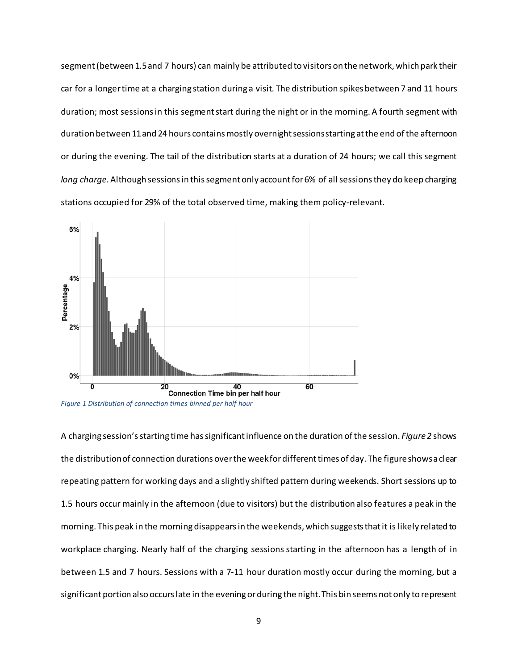segment(between 1.5 and 7 hours) can mainly be attributed to visitors on the network, which park their car for a longer time at a charging station during a visit*.* The distribution spikes between 7 and 11 hours duration; most sessions in this segment start during the night or in the morning. A fourth segment with duration between 11 and 24 hours contains mostly overnight sessions starting at the end of the afternoon or during the evening. The tail of the distribution starts at a duration of 24 hours; we call this segment *long charge*. Although sessions in this segmentonly account for 6% of all sessions they do keep charging stations occupied for 29% of the total observed time, making them policy-relevant.



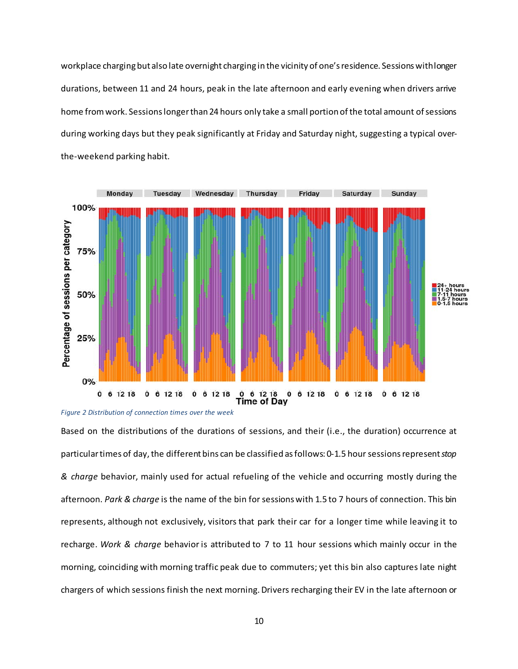workplace charging but also late overnight charging in the vicinity of one's residence. Sessions with longer durations, between 11 and 24 hours, peak in the late afternoon and early evening when drivers arrive home from work. Sessions longer than 24 hours only take a small portion of the total amount of sessions during working days but they peak significantly at Friday and Saturday night, suggesting a typical overthe-weekend parking habit.





Based on the distributions of the durations of sessions, and their (i.e., the duration) occurrence at particular times of day,the different bins can be classified as follows: 0-1.5 hour sessions represent *stop & charge* behavior, mainly used for actual refueling of the vehicle and occurring mostly during the afternoon. *Park & charge* is the name of the bin for sessions with 1.5 to 7 hours of connection. This bin represents, although not exclusively, visitors that park their car for a longer time while leaving it to recharge. *Work & charge* behavior is attributed to 7 to 11 hour sessions which mainly occur in the morning, coinciding with morning traffic peak due to commuters; yet this bin also captures late night chargers of which sessions finish the next morning. Drivers recharging their EV in the late afternoon or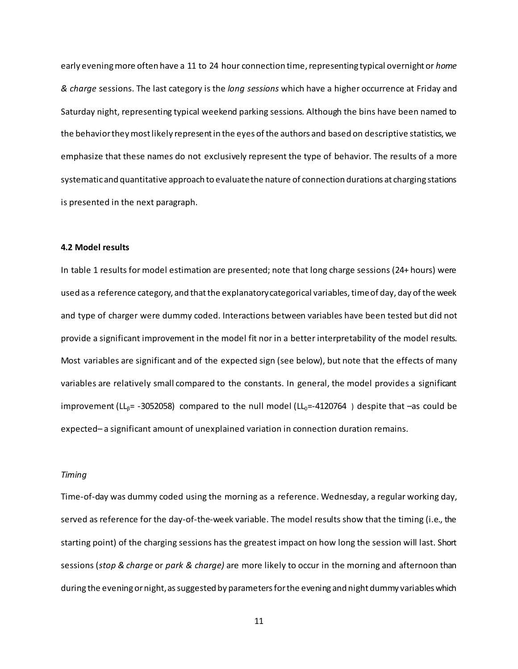early evening more often have a 11 to 24 hour connection time, representing typical overnight or *home & charge* sessions. The last category is the *long sessions* which have a higher occurrence at Friday and Saturday night, representing typical weekend parking sessions. Although the bins have been named to the behavior they most likely representin the eyes of the authors and based on descriptive statistics, we emphasize that these names do not exclusively represent the type of behavior. The results of a more systematic and quantitative approach to evaluate the nature of connection durations at charging stations is presented in the next paragraph.

#### **4.2 Model results**

In table 1 results for model estimation are presented; note that long charge sessions (24+ hours) were used as a reference category, and thatthe explanatory categorical variables, time of day, day of the week and type of charger were dummy coded. Interactions between variables have been tested but did not provide a significant improvement in the model fit nor in a better interpretability of the model results. Most variables are significant and of the expected sign (see below), but note that the effects of many variables are relatively small compared to the constants. In general, the model provides a significant improvement (LL $_B$ = -3052058) compared to the null model (LL $_0$ =-4120764) despite that –as could be expected– a significant amount of unexplained variation in connection duration remains.

#### *Timing*

Time-of-day was dummy coded using the morning as a reference. Wednesday, a regular working day, served as reference for the day-of-the-week variable. The model results show that the timing (i.e., the starting point) of the charging sessions has the greatest impact on how long the session will last. Short sessions (*stop & charge* or *park & charge)* are more likely to occur in the morning and afternoon than during the evening or night, as suggested by parameters for the evening and night dummy variables which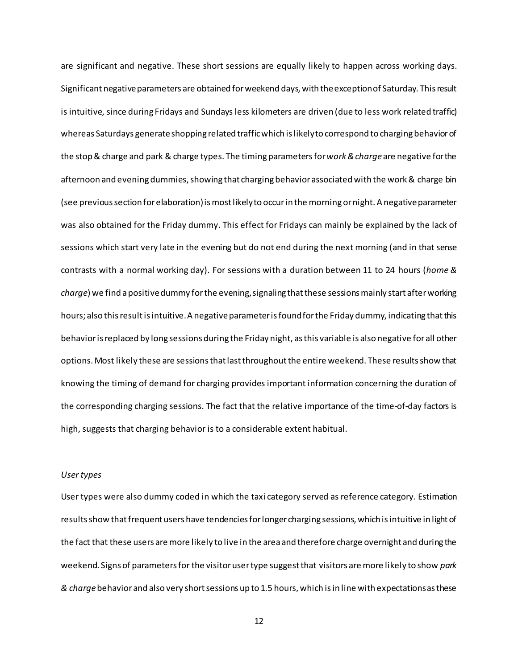are significant and negative. These short sessions are equally likely to happen across working days. Significant negative parameters are obtained for weekend days, with the exception of Saturday. This result is intuitive, since during Fridays and Sundays less kilometers are driven (due to less work related traffic) whereas Saturdays generate shopping related traffic which is likely to correspond to charging behavior of the stop & charge and park & charge types. The timing parameters for *work & charge* are negative for the afternoon and evening dummies, showing that charging behavior associated with the work & charge bin (see previous section for elaboration) is most likely to occur in the morning or night. A negative parameter was also obtained for the Friday dummy. This effect for Fridays can mainly be explained by the lack of sessions which start very late in the evening but do not end during the next morning (and in that sense contrasts with a normal working day). For sessions with a duration between 11 to 24 hours (*home & charge*) we find a positive dummy for the evening, signaling that these sessions mainly start after working hours; also this result is intuitive. A negative parameter is found for the Friday dummy, indicating that this behavior is replaced by long sessions during the Friday night, as this variable is also negative for all other options. Most likely these are sessions that last throughout the entire weekend. These results show that knowing the timing of demand for charging provides important information concerning the duration of the corresponding charging sessions. The fact that the relative importance of the time-of-day factors is high, suggests that charging behavior is to a considerable extent habitual.

#### *User types*

User types were also dummy coded in which the taxi category served as reference category. Estimation resultsshow that frequent users have tendencies for longer charging sessions, which is intuitive in light of the fact that these users are more likely to live in the area and therefore charge overnight and during the weekend. Signs of parameters for the visitor user type suggest that visitors are more likely to show *park & charge*behavior and also very short sessions up to 1.5 hours, which is in line with expectations as these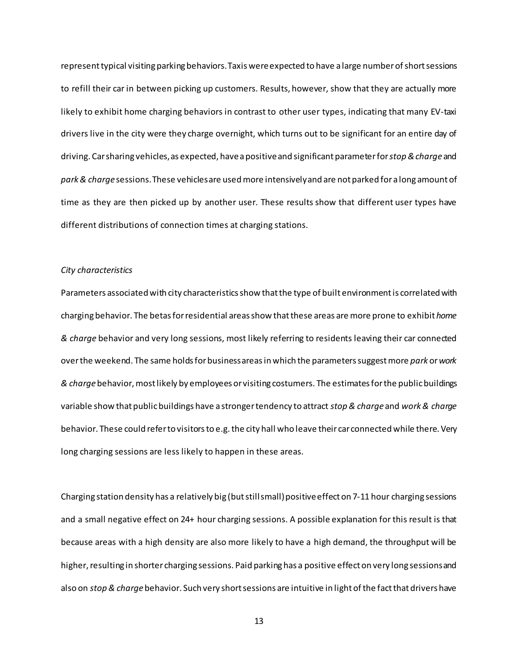represent typical visiting parking behaviors. Taxis were expected to have a large number of short sessions to refill their car in between picking up customers. Results, however, show that they are actually more likely to exhibit home charging behaviors in contrast to other user types, indicating that many EV-taxi drivers live in the city were they charge overnight, which turns out to be significant for an entire day of driving. Car sharing vehicles, as expected, have a positive and significant parameter for *stop & charge* and *park & charge* sessions. These vehicles are used more intensively and are not parked for a long amount of time as they are then picked up by another user. These results show that different user types have different distributions of connection times at charging stations.

#### *City characteristics*

Parameters associated with city characteristics show that the type of built environment is correlated with charging behavior. The betasfor residential areas show that these areas are more prone to exhibit *home & charge* behavior and very long sessions, most likely referring to residents leaving their car connected over the weekend. The same holds for business areas in which the parameters suggest more *park* or*work & charge*behavior, most likely by employees or visiting costumers. The estimates for the public buildings variable show that public buildings have a stronger tendency to attract *stop & charge* and *work & charge* behavior. These could refer to visitors to e.g. the city hall who leave their car connectedwhile there. Very long charging sessions are less likely to happen in these areas.

Charging station density has a relatively big (but still small) positive effect on 7-11 hour charging sessions and a small negative effect on 24+ hour charging sessions. A possible explanation for this result is that because areas with a high density are also more likely to have a high demand, the throughput will be higher, resulting in shorter charging sessions. Paid parking has a positive effect on very long sessions and also on *stop & charge*behavior. Such very short sessions are intuitive in light of the fact that drivers have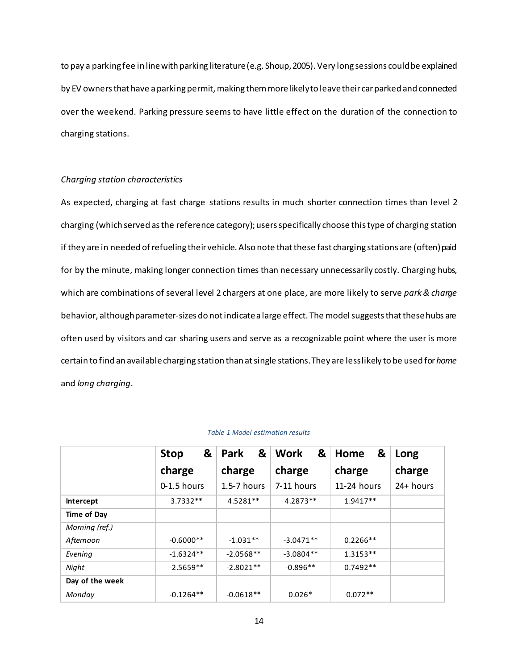to pay a parking fee in line with parking literature (e.g. Shoup, 2005). Very long sessions could be explained by EV owners that have a parking permit, making them more likely to leave their car parked and connected over the weekend. Parking pressure seems to have little effect on the duration of the connection to charging stations.

### *Charging station characteristics*

As expected, charging at fast charge stations results in much shorter connection times than level 2 charging (which served as the reference category); users specifically choose this type of charging station if they are in needed of refueling their vehicle. Also note that these fast charging stations are (often) paid for by the minute, making longer connection times than necessary unnecessarily costly. Charging hubs, which are combinations of several level 2 chargers at one place, are more likely to serve *park & charge* behavior, although parameter-sizes do not indicate a large effect. The model suggests that these hubs are often used by visitors and car sharing users and serve as a recognizable point where the user is more certain to find an available charging station than at single stations. They are less likely to be used for *home* and *long charging*.

|                 | &<br><b>Stop</b> | &<br><b>Park</b> | &<br>Work   | &<br>Home   | Long      |
|-----------------|------------------|------------------|-------------|-------------|-----------|
|                 | charge           | charge           | charge      | charge      | charge    |
|                 | 0-1.5 hours      | $1.5 - 7$ hours  | 7-11 hours  | 11-24 hours | 24+ hours |
| Intercept       | $3.7332**$       | 4.5281**         | 4.2873**    | 1.9417**    |           |
| Time of Day     |                  |                  |             |             |           |
| Morning (ref.)  |                  |                  |             |             |           |
| Afternoon       | $-0.6000**$      | $-1.031**$       | $-3.0471**$ | $0.2266**$  |           |
| Evening         | $-1.6324**$      | $-2.0568**$      | $-3.0804**$ | $1.3153**$  |           |
| Night           | $-2.5659**$      | $-2.8021**$      | $-0.896**$  | $0.7492**$  |           |
| Day of the week |                  |                  |             |             |           |
| Monday          | $-0.1264**$      | $-0.0618**$      | $0.026*$    | $0.072**$   |           |

#### *Table 1 Model estimation results*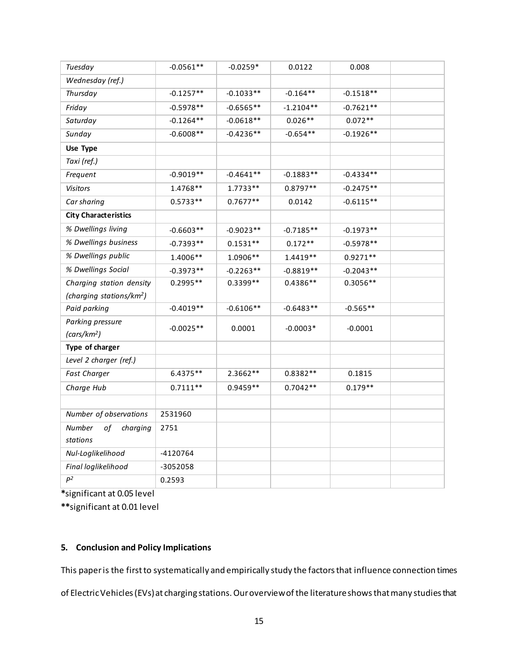| Tuesday                                     | $-0.0561**$ | $-0.0259*$  | 0.0122      | 0.008       |  |
|---------------------------------------------|-------------|-------------|-------------|-------------|--|
| Wednesday (ref.)                            |             |             |             |             |  |
| Thursday                                    | $-0.1257**$ | $-0.1033**$ | $-0.164**$  | $-0.1518**$ |  |
| Friday                                      | $-0.5978**$ | $-0.6565**$ | $-1.2104**$ | $-0.7621**$ |  |
| Saturday                                    | $-0.1264**$ | $-0.0618**$ | $0.026**$   | $0.072**$   |  |
| Sunday                                      | $-0.6008**$ | $-0.4236**$ | $-0.654**$  | $-0.1926**$ |  |
| Use Type                                    |             |             |             |             |  |
| Taxi (ref.)                                 |             |             |             |             |  |
| Frequent                                    | $-0.9019**$ | $-0.4641**$ | $-0.1883**$ | $-0.4334**$ |  |
| Visitors                                    | 1.4768**    | $1.7733**$  | $0.8797**$  | $-0.2475**$ |  |
| Car sharing                                 | $0.5733**$  | $0.7677**$  | 0.0142      | $-0.6115**$ |  |
| <b>City Characteristics</b>                 |             |             |             |             |  |
| % Dwellings living                          | $-0.6603**$ | $-0.9023**$ | $-0.7185**$ | $-0.1973**$ |  |
| % Dwellings business                        | $-0.7393**$ | $0.1531**$  | $0.172**$   | $-0.5978**$ |  |
| % Dwellings public                          | 1.4006**    | 1.0906 **   | $1.4419**$  | $0.9271**$  |  |
| % Dwellings Social                          | $-0.3973**$ | $-0.2263**$ | $-0.8819**$ | $-0.2043**$ |  |
| Charging station density                    | $0.2995**$  | 0.3399**    | $0.4386**$  | $0.3056**$  |  |
| (charging stations/km <sup>2</sup> )        |             |             |             |             |  |
| Paid parking                                | $-0.4019**$ | $-0.6106**$ | $-0.6483**$ | $-0.565**$  |  |
| Parking pressure<br>(cars/km <sup>2</sup> ) | $-0.0025**$ | 0.0001      | $-0.0003*$  | $-0.0001$   |  |
| Type of charger                             |             |             |             |             |  |
| Level 2 charger (ref.)                      |             |             |             |             |  |
| <b>Fast Charger</b>                         | 6.4375**    | 2.3662**    | $0.8382**$  | 0.1815      |  |
| Charge Hub                                  | $0.7111**$  | $0.9459**$  | $0.7042**$  | $0.179**$   |  |
|                                             |             |             |             |             |  |
| Number of observations                      | 2531960     |             |             |             |  |
| Number<br>of<br>charging<br>stations        | 2751        |             |             |             |  |
| Nul-Loglikelihood                           | $-4120764$  |             |             |             |  |
| Final loglikelihood                         | -3052058    |             |             |             |  |
| $\mathsf{P}^2$                              | 0.2593      |             |             |             |  |

**\***significant at 0.05 level

**\*\***significant at 0.01 level

## **5. Conclusion and Policy Implications**

This paper is the first to systematically and empirically study the factors that influence connection times

of Electric Vehicles (EVs) at charging stations. Our overview of the literature showsthat many studies that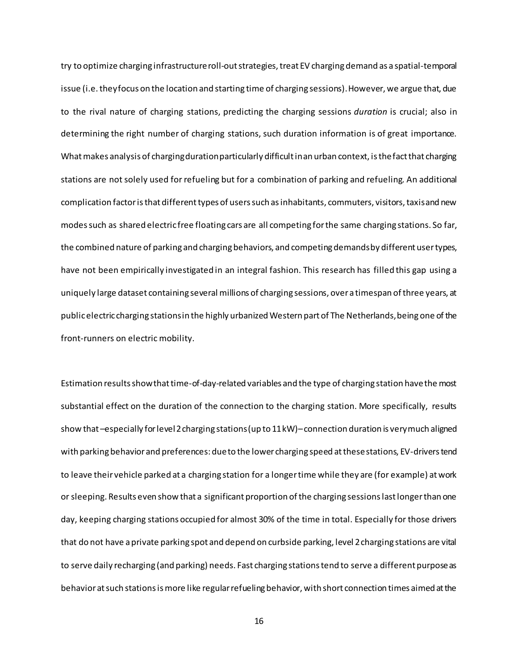try to optimize charging infrastructure roll-out strategies, treat EV charging demand as a spatial-temporal issue (i.e. they focus on the location and starting time of charging sessions). However, we argue that, due to the rival nature of charging stations, predicting the charging sessions *duration* is crucial; also in determining the right number of charging stations, such duration information is of great importance. What makes analysis of charging duration particularly difficult in an urban context, is the fact that charging stations are not solely used for refueling but for a combination of parking and refueling. An additional complication factor is that different types of users such as inhabitants, commuters, visitors, taxis and new modes such as shared electric free floating cars are all competing for the same charging stations. So far, the combined nature of parking and charging behaviors, and competing demands by different user types, have not been empirically investigated in an integral fashion. This research has filled this gap using a uniquely large dataset containing several millions of charging sessions, over a timespan of three years, at public electric charging stations in the highly urbanized Western part of The Netherlands, being one of the front-runners on electric mobility.

Estimation results showthat time-of-day-related variables and the type of charging station have the most substantial effect on the duration of the connection to the charging station. More specifically, results show that –especially for level 2 charging stations (up to 11 kW)–connection duration is very much aligned with parking behaviorand preferences: due to the lower charging speed at these stations, EV-drivers tend to leave their vehicle parked at a charging station for a longer time while they are (for example) at work or sleeping. Results even show that a significant proportion of the charging sessionslast longer than one day, keeping charging stations occupied for almost 30% of the time in total. Especially for those drivers that do not have a private parking spot and depend on curbside parking, level 2 charging stations are vital to serve daily recharging (and parking) needs. Fast charging stations tend to serve a different purpose as behavior at such stations is more like regular refueling behavior, with short connection times aimed at the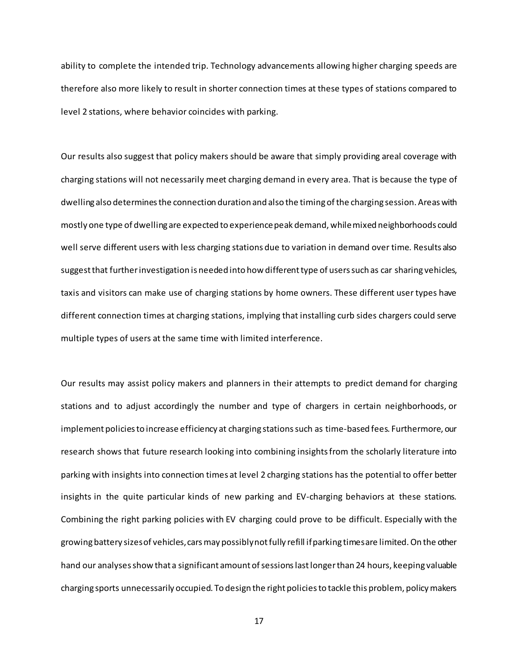ability to complete the intended trip. Technology advancements allowing higher charging speeds are therefore also more likely to result in shorter connection times at these types of stations compared to level 2 stations, where behavior coincides with parking.

Our results also suggest that policy makers should be aware that simply providing areal coverage with charging stations will not necessarily meet charging demand in every area. That is because the type of dwelling also determines the connection duration and also the timing of the charging session. Areas with mostly one type of dwelling are expected to experience peak demand, while mixed neighborhoods could well serve different users with less charging stations due to variation in demand over time. Results also suggest that further investigation is needed into how different type of users such as car sharing vehicles, taxis and visitors can make use of charging stations by home owners. These different user types have different connection times at charging stations, implying that installing curb sides chargers could serve multiple types of users at the same time with limited interference.

Our results may assist policy makers and planners in their attempts to predict demand for charging stations and to adjust accordingly the number and type of chargers in certain neighborhoods, or implement policies to increase efficiency at charging stations such as time-based fees. Furthermore, our research shows that future research looking into combining insights from the scholarly literature into parking with insights into connection times at level 2 charging stations has the potential to offer better insights in the quite particular kinds of new parking and EV-charging behaviors at these stations. Combining the right parking policies with EV charging could prove to be difficult. Especially with the growing battery sizes of vehicles,cars may possibly not fully refill if parking times are limited. On the other hand our analyses show that a significant amount of sessionslast longer than 24 hours, keeping valuable charging sports unnecessarily occupied. To design the right policies to tackle this problem, policy makers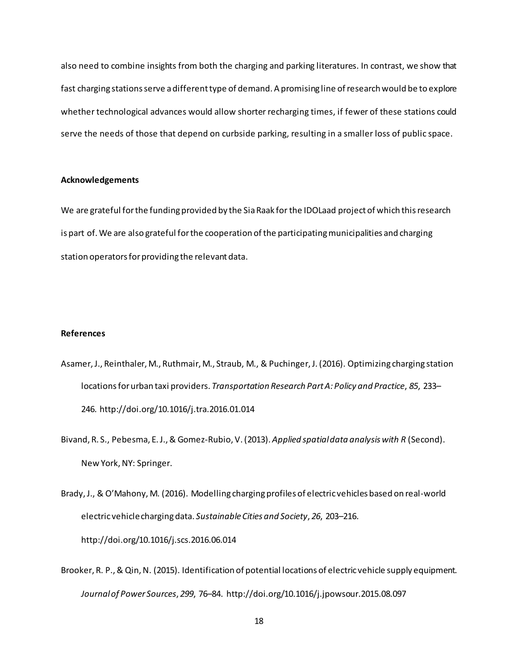also need to combine insights from both the charging and parking literatures. In contrast, we show that fast charging stations serve a different type of demand. A promising line of research would be to explore whether technological advances would allow shorter recharging times, if fewer of these stations could serve the needs of those that depend on curbside parking, resulting in a smaller loss of public space.

#### **Acknowledgements**

We are grateful for the funding provided by the Sia Raak for the IDOLaad project of which this research is part of. We are also grateful for the cooperation of the participating municipalities and charging station operators for providing the relevant data.

#### **References**

- Asamer, J., Reinthaler, M., Ruthmair, M., Straub, M., & Puchinger, J. (2016). Optimizing charging station locations for urban taxi providers. *Transportation Research Part A: Policy and Practice*, *85*, 233– 246. http://doi.org/10.1016/j.tra.2016.01.014
- Bivand, R. S., Pebesma, E. J., & Gomez-Rubio, V. (2013). *Applied spatial data analysis with R* (Second). New York, NY: Springer.
- Brady, J., & O'Mahony, M. (2016). Modelling charging profiles of electric vehicles based on real-world electric vehicle charging data. *Sustainable Cities and Society*, *26*, 203–216. http://doi.org/10.1016/j.scs.2016.06.014
- Brooker, R. P., & Qin, N. (2015). Identification of potential locations of electric vehicle supply equipment. *Journal of Power Sources*, *299*, 76–84. http://doi.org/10.1016/j.jpowsour.2015.08.097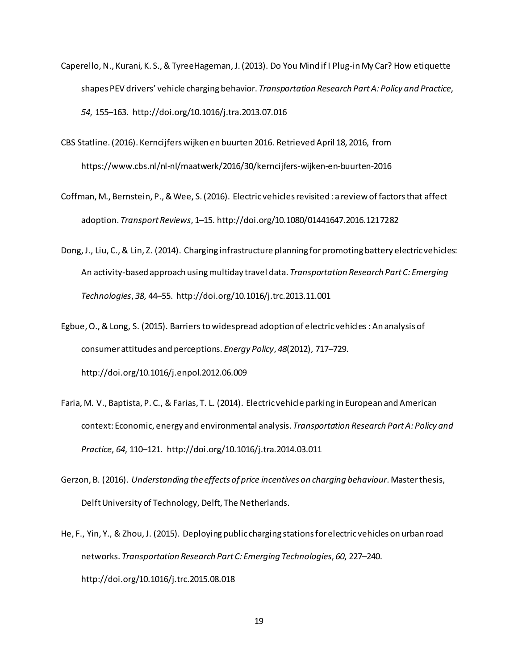- Caperello, N., Kurani, K. S., & TyreeHageman, J. (2013). Do You Mind if I Plug-in My Car? How etiquette shapes PEV drivers' vehicle charging behavior. *Transportation Research Part A: Policy and Practice*, *54*, 155–163. http://doi.org/10.1016/j.tra.2013.07.016
- CBS Statline. (2016). Kerncijfers wijken en buurten 2016. Retrieved April 18, 2016, from https://www.cbs.nl/nl-nl/maatwerk/2016/30/kerncijfers-wijken-en-buurten-2016
- Coffman, M., Bernstein, P., & Wee, S. (2016). Electric vehicles revisited : a review of factors that affect adoption. *Transport Reviews*, 1–15. http://doi.org/10.1080/01441647.2016.1217282
- Dong, J., Liu, C., & Lin, Z. (2014). Charging infrastructure planning for promoting battery electric vehicles: An activity-based approach using multiday travel data. *Transportation Research Part C: Emerging Technologies*, *38*, 44–55. http://doi.org/10.1016/j.trc.2013.11.001
- Egbue, O., & Long, S. (2015). Barriers to widespread adoption of electric vehicles : An analysis of consumer attitudes and perceptions. *Energy Policy*, *48*(2012), 717–729. http://doi.org/10.1016/j.enpol.2012.06.009
- Faria, M. V., Baptista, P. C., & Farias, T. L. (2014). Electric vehicle parking in European and American context: Economic, energy and environmental analysis. *Transportation Research Part A: Policy and Practice*, *64*, 110–121. http://doi.org/10.1016/j.tra.2014.03.011
- Gerzon, B. (2016). *Understanding the effects of price incentives on charging behaviour*. Master thesis, Delft University of Technology, Delft, The Netherlands.
- He, F., Yin, Y., & Zhou, J. (2015). Deploying public charging stations for electric vehicles on urban road networks. *Transportation Research Part C: Emerging Technologies*, *60*, 227–240. http://doi.org/10.1016/j.trc.2015.08.018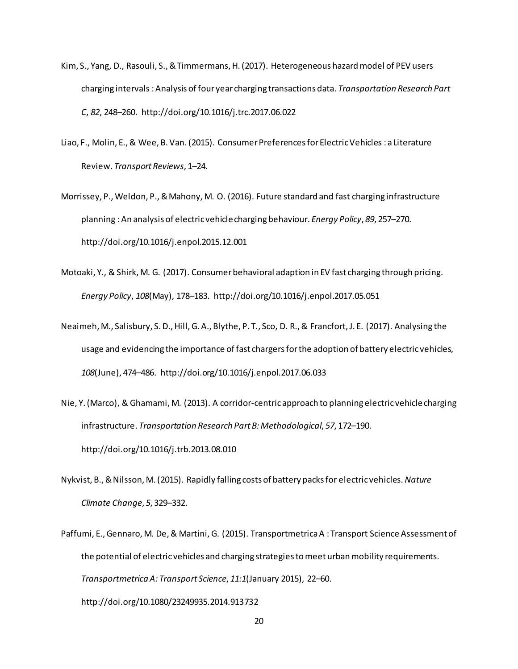- Kim, S., Yang, D., Rasouli, S., &Timmermans, H. (2017). Heterogeneous hazard model of PEV users charging intervals : Analysis of four year charging transactions data. *Transportation Research Part C*, *82*, 248–260. http://doi.org/10.1016/j.trc.2017.06.022
- Liao, F., Molin, E., & Wee, B. Van.(2015). Consumer Preferences for Electric Vehicles : a Literature Review. *Transport Reviews*, 1–24.
- Morrissey, P., Weldon, P., & Mahony, M. O. (2016). Future standard and fast charging infrastructure planning : An analysis of electric vehicle charging behaviour. *Energy Policy*, *89*, 257–270. http://doi.org/10.1016/j.enpol.2015.12.001
- Motoaki, Y., & Shirk, M. G. (2017). Consumer behavioral adaption in EV fast charging through pricing. *Energy Policy*, *108*(May), 178–183. http://doi.org/10.1016/j.enpol.2017.05.051
- Neaimeh, M., Salisbury, S. D., Hill, G. A., Blythe, P. T., Sco, D. R., & Francfort, J. E. (2017). Analysing the usage and evidencing the importance of fast chargers for the adoption of battery electric vehicles, *108*(June), 474–486. http://doi.org/10.1016/j.enpol.2017.06.033
- Nie, Y. (Marco), & Ghamami, M. (2013). A corridor-centric approach to planning electric vehicle charging infrastructure. *Transportation Research Part B: Methodological*, *57*, 172–190. http://doi.org/10.1016/j.trb.2013.08.010
- Nykvist, B., & Nilsson, M. (2015). Rapidly falling costs of battery packs for electric vehicles. *Nature Climate Change*, *5*, 329–332.
- Paffumi, E., Gennaro, M. De, & Martini, G. (2015). Transportmetrica A : Transport Science Assessment of the potential of electric vehicles and charging strategies to meet urban mobility requirements. *Transportmetrica A: Transport Science*, *11:1*(January 2015), 22–60. http://doi.org/10.1080/23249935.2014.913732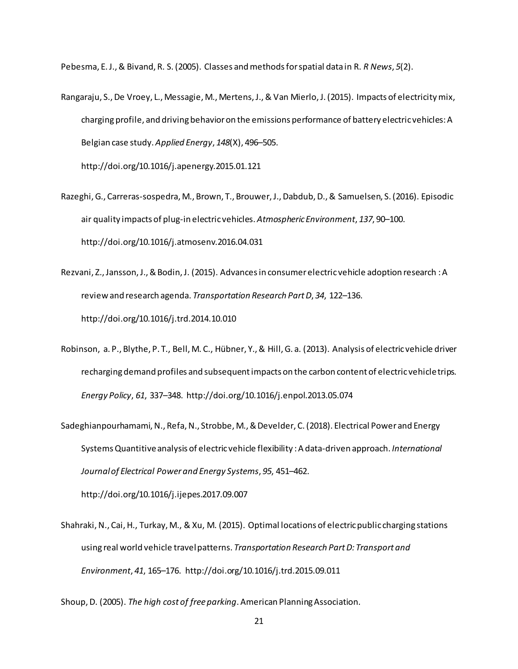Pebesma, E. J., & Bivand, R. S. (2005). Classes and methods for spatial data in R. *R News*, *5*(2).

Rangaraju, S., De Vroey, L., Messagie, M., Mertens, J., & Van Mierlo, J. (2015). Impacts of electricity mix, charging profile, and driving behavior on the emissions performance of battery electric vehicles: A Belgian case study. *Applied Energy*, *148*(X), 496–505.

http://doi.org/10.1016/j.apenergy.2015.01.121

- Razeghi, G., Carreras-sospedra, M., Brown, T., Brouwer, J., Dabdub, D., & Samuelsen, S. (2016). Episodic air quality impacts of plug-in electric vehicles. *Atmospheric Environment*, *137*, 90–100. http://doi.org/10.1016/j.atmosenv.2016.04.031
- Rezvani, Z., Jansson, J., & Bodin, J. (2015). Advances in consumer electric vehicle adoption research : A review and research agenda. *Transportation Research Part D*, *34*, 122–136. http://doi.org/10.1016/j.trd.2014.10.010
- Robinson, a. P., Blythe, P. T., Bell, M. C., Hübner, Y., & Hill, G. a. (2013). Analysis of electric vehicle driver recharging demand profiles and subsequent impacts on the carbon content of electric vehicle trips. *Energy Policy*, *61*, 337–348. http://doi.org/10.1016/j.enpol.2013.05.074
- Sadeghianpourhamami, N., Refa, N., Strobbe, M., & Develder, C. (2018). Electrical Power and Energy Systems Quantitive analysis of electric vehicle flexibility : A data-driven approach. *International Journal of Electrical Power and Energy Systems*, *95*, 451–462. http://doi.org/10.1016/j.ijepes.2017.09.007
- Shahraki, N., Cai, H., Turkay, M., & Xu, M. (2015). Optimal locations of electric public charging stations using real world vehicle travel patterns. *Transportation Research Part D: Transport and Environment*, *41*, 165–176. http://doi.org/10.1016/j.trd.2015.09.011

Shoup, D. (2005). *The high cost of free parking*. American Planning Association.